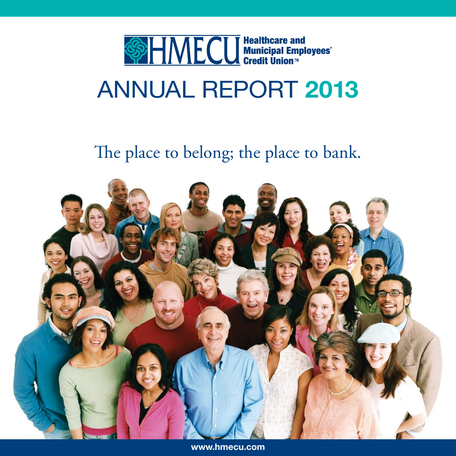

# ANNUAL REPORT 2013

# The place to belong; the place to bank.



www.hmecu.com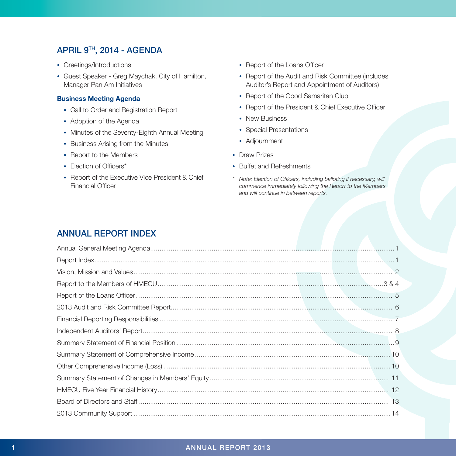## APRIL 9TH, 2014 - AGENDA

- Greetings/Introductions
- Guest Speaker Greg Maychak, City of Hamilton, Manager Pan Am Initiatives

#### Business Meeting Agenda

- Call to Order and Registration Report
- Adoption of the Agenda
- Minutes of the Seventy-Eighth Annual Meeting
- Business Arising from the Minutes
- Report to the Members
- Election of Officers\*
- Report of the Executive Vice President & Chief Financial Officer
- Report of the Loans Officer
- Report of the Audit and Risk Committee (includes Auditor's Report and Appointment of Auditors)
- Report of the Good Samaritan Club
- Report of the President & Chief Executive Officer
- New Business
- Special Presentations
- Adjournment
- Draw Prizes
- Buffet and Refreshments
- *\* Note: Election of Officers, including balloting if necessary, will commence immediately following the Report to the Members and will continue in between reports.*

# ANNUAL REPORT INDEX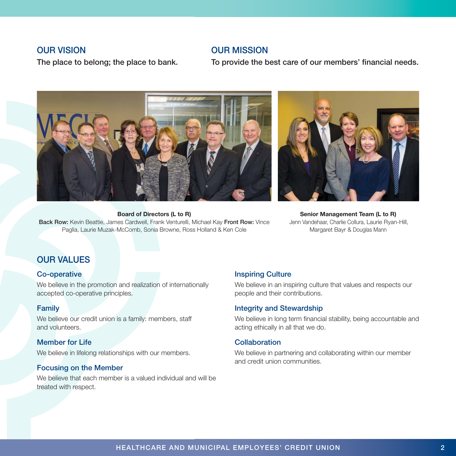### OUR VISION

The place to belong; the place to bank.

## OUR MISSION

To provide the best care of our members' financial needs.



Board of Directors (L to R) Back Row: Kevin Beattie, James Cardwell, Frank Venturelli, Michael Kay Front Row: Vince Paglia, Laurie Muzak-McComb, Sonia Browne, Ross Holland & Ken Cole

Senior Management Team (L to R) Jenn Vandehaar, Charlie Collura, Laurie Ryan-Hill, Margaret Bayr & Douglas Mann

## OUR VALUES

### Co-operative

We believe in the promotion and realization of internationally accepted co-operative principles.

### Family

We believe our credit union is a family: members, staff and volunteers.

### Member for Life

We believe in lifelong relationships with our members.

### Focusing on the Member

We believe that each member is a valued individual and will be treated with respect.

### Inspiring Culture

We believe in an inspiring culture that values and respects our people and their contributions.

### Integrity and Stewardship

We believe in long term financial stability, being accountable and acting ethically in all that we do.

### Collaboration

We believe in partnering and collaborating within our member and credit union communities.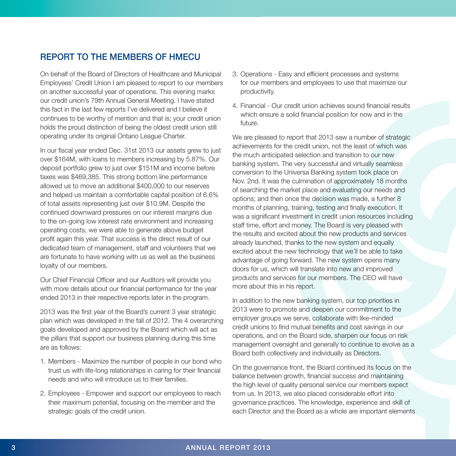# REPORT TO THE MEMBERS OF HMECU

On behalf of the Board of Directors of Healthcare and Municipal Employees' Credit Union I am pleased to report to our members on another successful year of operations. This evening marks our credit union's 79th Annual General Meeting. I have stated this fact in the last few reports I've delivered and I believe it continues to be worthy of mention and that is; your credit union holds the proud distinction of being the oldest credit union still operating under its original Ontario League Charter.

In our fiscal year ended Dec. 31st 2013 our assets grew to just over \$164M, with loans to members increasing by 5.87%. Our deposit portfolio grew to just over \$151M and income before taxes was \$469,385. This strong bottom line performance allowed us to move an additional \$400,000 to our reserves and helped us maintain a comfortable capital position of 6.6% of total assets representing just over \$10.9M. Despite the continued downward pressures on our interest margins due to the on-going low interest rate environment and increasing operating costs, we were able to generate above budget profit again this year. That success is the direct result of our dedicated team of management, staff and volunteers that we are fortunate to have working with us as well as the business loyalty of our members.

Our Chief Financial Officer and our Auditors will provide you with more details about our financial performance for the year ended 2013 in their respective reports later in the program.

2013 was the first year of the Board's current 3 year strategic plan which was developed in the fall of 2012. The 4 overarching goals developed and approved by the Board which will act as the pillars that support our business planning during this time are as follows:

- 1. Members Maximize the number of people in our bond who trust us with life-long relationships in caring for their financial needs and who will introduce us to their families.
- 2. Employees Empower and support our employees to reach their maximum potential, focusing on the member and the strategic goals of the credit union.
- 3. Operations Easy and efficient processes and systems for our members and employees to use that maximize our productivity.
- 4. Financial Our credit union achieves sound financial results which ensure a solid financial position for now and in the future.

We are pleased to report that 2013 saw a number of strategic achievements for the credit union, not the least of which was the much anticipated selection and transition to our new banking system. The very successful and virtually seamless conversion to the Universa Banking system took place on Nov. 2nd. It was the culmination of approximately 18 months of searching the market place and evaluating our needs and options; and then once the decision was made, a further 8 months of planning, training, testing and finally execution. It was a significant investment in credit union resources including staff time, effort and money. The Board is very pleased with the results and excited about the new products and services already launched, thanks to the new system and equally excited about the new technology that we'll be able to take advantage of going forward. The new system opens many doors for us, which will translate into new and improved products and services for our members. The CEO will have more about this in his report.

In addition to the new banking system, our top priorities in 2013 were to promote and deepen our commitment to the employer groups we serve, collaborate with like-minded credit unions to find mutual benefits and cost savings in our operations, and on the Board side, sharpen our focus on risk management oversight and generally to continue to evolve as a Board both collectively and individually as Directors.

On the governance front, the Board continued its focus on the balance between growth, financial success and maintaining the high level of quality personal service our members expect from us. In 2013, we also placed considerable effort into governance practices. The knowledge, experience and skill of each Director and the Board as a whole are important elements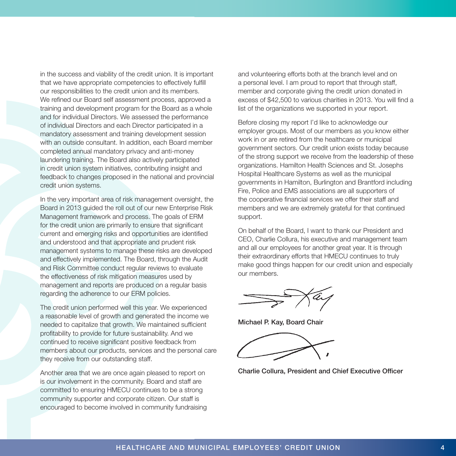in the success and viability of the credit union. It is important that we have appropriate competencies to effectively fulfill our responsibilities to the credit union and its members. We refined our Board self assessment process, approved a training and development program for the Board as a whole and for individual Directors. We assessed the performance of individual Directors and each Director participated in a mandatory assessment and training development session with an outside consultant. In addition, each Board member completed annual mandatory privacy and anti-money laundering training. The Board also actively participated in credit union system initiatives, contributing insight and feedback to changes proposed in the national and provincial credit union systems.

In the very important area of risk management oversight, the Board in 2013 guided the roll out of our new Enterprise Risk Management framework and process. The goals of ERM for the credit union are primarily to ensure that significant current and emerging risks and opportunities are identified and understood and that appropriate and prudent risk management systems to manage these risks are developed and effectively implemented. The Board, through the Audit and Risk Committee conduct regular reviews to evaluate the effectiveness of risk mitigation measures used by management and reports are produced on a regular basis regarding the adherence to our ERM policies.

The credit union performed well this year. We experienced a reasonable level of growth and generated the income we needed to capitalize that growth. We maintained sufficient profitability to provide for future sustainability. And we continued to receive significant positive feedback from members about our products, services and the personal care they receive from our outstanding staff.

Another area that we are once again pleased to report on is our involvement in the community. Board and staff are committed to ensuring HMECU continues to be a strong community supporter and corporate citizen. Our staff is encouraged to become involved in community fundraising and volunteering efforts both at the branch level and on a personal level. I am proud to report that through staff, member and corporate giving the credit union donated in excess of \$42,500 to various charities in 2013. You will find a list of the organizations we supported in your report.

Before closing my report I'd like to acknowledge our employer groups. Most of our members as you know either work in or are retired from the healthcare or municipal government sectors. Our credit union exists today because of the strong support we receive from the leadership of these organizations. Hamilton Health Sciences and St. Josephs Hospital Healthcare Systems as well as the municipal governments in Hamilton, Burlington and Brantford including Fire, Police and EMS associations are all supporters of the cooperative financial services we offer their staff and members and we are extremely grateful for that continued support.

On behalf of the Board, I want to thank our President and CEO, Charlie Collura, his executive and management team and all our employees for another great year. It is through their extraordinary efforts that HMECU continues to truly make good things happen for our credit union and especially our members.

Michael P. Kay, Board Chair

Charlie Collura, President and Chief Executive Officer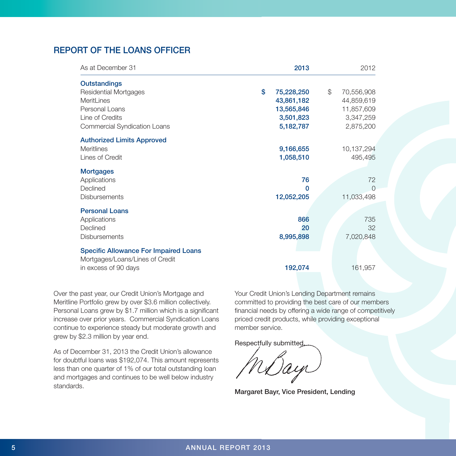# REPORT OF THE LOANS OFFICER

| As at December 31                                                                                                                                    | 2013                                                                   | 2012                                                                   |
|------------------------------------------------------------------------------------------------------------------------------------------------------|------------------------------------------------------------------------|------------------------------------------------------------------------|
| <b>Outstandings</b><br><b>Residential Mortgages</b><br><b>MeritLines</b><br>Personal Loans<br>Line of Credits<br><b>Commercial Syndication Loans</b> | \$<br>75,228,250<br>43,861,182<br>13,565,846<br>3,501,823<br>5,182,787 | \$<br>70,556,908<br>44,859,619<br>11,857,609<br>3,347,259<br>2,875,200 |
| <b>Authorized Limits Approved</b><br><b>Meritlines</b><br>Lines of Credit                                                                            | 9,166,655<br>1,058,510                                                 | 10,137,294<br>495,495                                                  |
| <b>Mortgages</b><br>Applications<br>Declined<br><b>Disbursements</b>                                                                                 | 76<br>$\Omega$<br>12,052,205                                           | 72<br>$\Omega$<br>11,033,498                                           |
| <b>Personal Loans</b><br>Applications<br>Declined<br><b>Disbursements</b>                                                                            | 866<br>20<br>8,995,898                                                 | 735<br>32<br>7,020,848                                                 |
| <b>Specific Allowance For Impaired Loans</b><br>Mortgages/Loans/Lines of Credit<br>in excess of 90 days                                              | 192,074                                                                | 161,957                                                                |

Over the past year, our Credit Union's Mortgage and Meritline Portfolio grew by over \$3.6 million collectively. Personal Loans grew by \$1.7 million which is a significant increase over prior years. Commercial Syndication Loans continue to experience steady but moderate growth and grew by \$2.3 million by year end.

As of December 31, 2013 the Credit Union's allowance for doubtful loans was \$192,074. This amount represents less than one quarter of 1% of our total outstanding loan and mortgages and continues to be well below industry standards.

Your Credit Union's Lending Department remains committed to providing the best care of our members financial needs by offering a wide range of competitively priced credit products, while providing exceptional member service.

Respectfully submitted,

Margaret Bayr, Vice President, Lending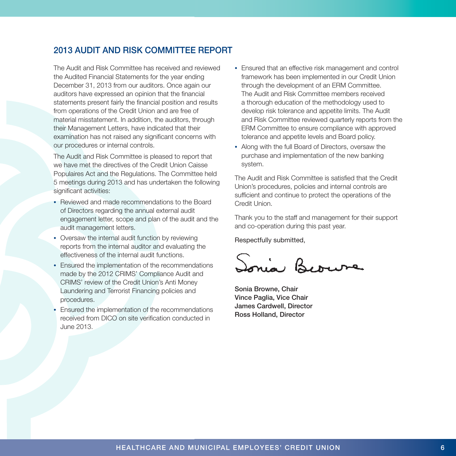# 2013 AUDIT AND RISK COMMITTEE REPORT

The Audit and Risk Committee has received and reviewed the Audited Financial Statements for the year ending December 31, 2013 from our auditors. Once again our auditors have expressed an opinion that the financial statements present fairly the financial position and results from operations of the Credit Union and are free of material misstatement. In addition, the auditors, through their Management Letters, have indicated that their examination has not raised any significant concerns with our procedures or internal controls.

The Audit and Risk Committee is pleased to report that we have met the directives of the Credit Union Caisse Populaires Act and the Regulations. The Committee held 5 meetings during 2013 and has undertaken the following significant activities:

- Reviewed and made recommendations to the Board of Directors regarding the annual external audit engagement letter, scope and plan of the audit and the audit management letters.
- Oversaw the internal audit function by reviewing reports from the internal auditor and evaluating the effectiveness of the internal audit functions.
- Ensured the implementation of the recommendations made by the 2012 CRIMS' Compliance Audit and CRIMS' review of the Credit Union's Anti Money Laundering and Terrorist Financing policies and procedures.
- Ensured the implementation of the recommendations received from DICO on site verification conducted in June 2013.
- Ensured that an effective risk management and control framework has been implemented in our Credit Union through the development of an ERM Committee. The Audit and Risk Committee members received a thorough education of the methodology used to develop risk tolerance and appetite limits. The Audit and Risk Committee reviewed quarterly reports from the ERM Committee to ensure compliance with approved tolerance and appetite levels and Board policy.
- Along with the full Board of Directors, oversaw the purchase and implementation of the new banking system.

The Audit and Risk Committee is satisfied that the Credit Union's procedures, policies and internal controls are sufficient and continue to protect the operations of the Credit Union.

Thank you to the staff and management for their support and co-operation during this past year.

Respectfully submitted,

Sonia Beouve

Sonia Browne, Chair Vince Paglia, Vice Chair James Cardwell, Director Ross Holland, Director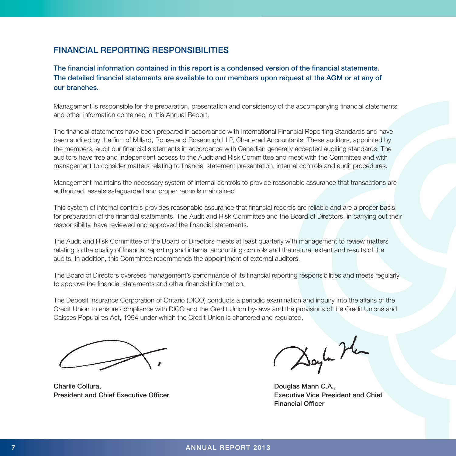# FINANCIAL REPORTING RESPONSIBILITIES

The financial information contained in this report is a condensed version of the financial statements. The detailed financial statements are available to our members upon request at the AGM or at any of our branches.

Management is responsible for the preparation, presentation and consistency of the accompanying financial statements and other information contained in this Annual Report.

The financial statements have been prepared in accordance with International Financial Reporting Standards and have been audited by the firm of Millard, Rouse and Rosebrugh LLP, Chartered Accountants. These auditors, appointed by the members, audit our financial statements in accordance with Canadian generally accepted auditing standards. The auditors have free and independent access to the Audit and Risk Committee and meet with the Committee and with management to consider matters relating to financial statement presentation, internal controls and audit procedures.

Management maintains the necessary system of internal controls to provide reasonable assurance that transactions are authorized, assets safeguarded and proper records maintained.

This system of internal controls provides reasonable assurance that financial records are reliable and are a proper basis for preparation of the financial statements. The Audit and Risk Committee and the Board of Directors, in carrying out their responsibility, have reviewed and approved the financial statements.

The Audit and Risk Committee of the Board of Directors meets at least quarterly with management to review matters relating to the quality of financial reporting and internal accounting controls and the nature, extent and results of the audits. In addition, this Committee recommends the appointment of external auditors.

The Board of Directors oversees management's performance of its financial reporting responsibilities and meets regularly to approve the financial statements and other financial information.

The Deposit Insurance Corporation of Ontario (DICO) conducts a periodic examination and inquiry into the affairs of the Credit Union to ensure compliance with DICO and the Credit Union by-laws and the provisions of the Credit Unions and Caisses Populaires Act, 1994 under which the Credit Union is chartered and regulated.

Charlie Collura, Douglas Mann C.A., **President and Chief Executive Officer Executive Vice President and Chief Chief** 

Doyla Hea

Financial Officer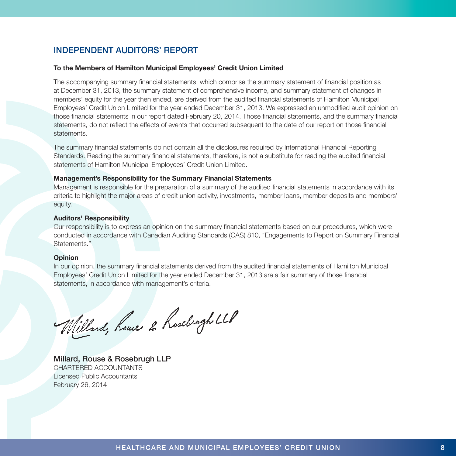# INDEPENDENT AUDITORS' REPORT

#### To the Members of Hamilton Municipal Employees' Credit Union Limited

The accompanying summary financial statements, which comprise the summary statement of financial position as at December 31, 2013, the summary statement of comprehensive income, and summary statement of changes in members' equity for the year then ended, are derived from the audited financial statements of Hamilton Municipal Employees' Credit Union Limited for the year ended December 31, 2013. We expressed an unmodified audit opinion on those financial statements in our report dated February 20, 2014. Those financial statements, and the summary financial statements, do not reflect the effects of events that occurred subsequent to the date of our report on those financial statements.

The summary financial statements do not contain all the disclosures required by International Financial Reporting Standards. Reading the summary financial statements, therefore, is not a substitute for reading the audited financial statements of Hamilton Municipal Employees' Credit Union Limited.

#### Management's Responsibility for the Summary Financial Statements

Management is responsible for the preparation of a summary of the audited financial statements in accordance with its criteria to highlight the major areas of credit union activity, investments, member loans, member deposits and members' equity.

#### Auditors' Responsibility

Our responsibility is to express an opinion on the summary financial statements based on our procedures, which were conducted in accordance with Canadian Auditing Standards (CAS) 810, "Engagements to Report on Summary Financial Statements."

#### Opinion

In our opinion, the summary financial statements derived from the audited financial statements of Hamilton Municipal Employees' Credit Union Limited for the year ended December 31, 2013 are a fair summary of those financial statements, in accordance with management's criteria.

Millard, heuse 2 hosebrych LLP

Millard, Rouse & Rosebrugh LLP CHARTERED ACCOUNTANTS Licensed Public Accountants February 26, 2014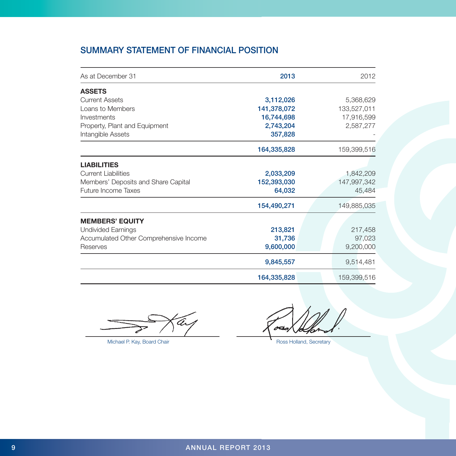# SUMMARY STATEMENT OF FINANCIAL POSITION

| As at December 31                      | 2013        | 2012        |
|----------------------------------------|-------------|-------------|
| <b>ASSETS</b>                          |             |             |
| <b>Current Assets</b>                  | 3,112,026   | 5,368,629   |
| Loans to Members                       | 141,378,072 | 133,527,011 |
| Investments                            | 16,744,698  | 17,916,599  |
| Property, Plant and Equipment          | 2,743,204   | 2,587,277   |
| Intangible Assets                      | 357,828     |             |
|                                        | 164,335,828 | 159,399,516 |
| <b>LIABILITIES</b>                     |             |             |
| <b>Current Liabilities</b>             | 2,033,209   | 1,842,209   |
| Members' Deposits and Share Capital    | 152,393,030 | 147,997,342 |
| <b>Future Income Taxes</b>             | 64,032      | 45,484      |
|                                        | 154,490,271 | 149,885,035 |
| <b>MEMBERS' EQUITY</b>                 |             |             |
| Undivided Earnings                     | 213,821     | 217,458     |
| Accumulated Other Comprehensive Income | 31,736      | 97,023      |
| Reserves                               | 9,600,000   | 9,200,000   |
|                                        | 9,845,557   | 9,514,481   |
|                                        | 164,335,828 | 159,399,516 |

Michael P. Kay, Board Chair **Ross Holland, Secretary** Ross Holland, Secretary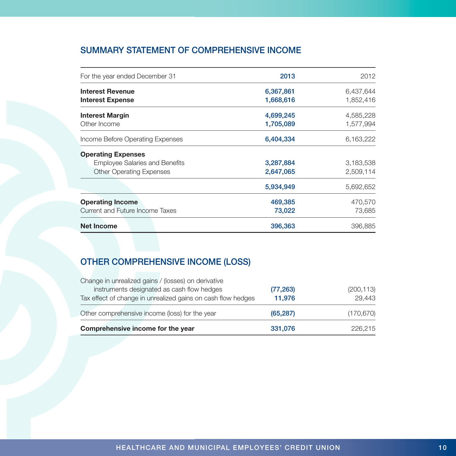# SUMMARY STATEMENT OF COMPREHENSIVE INCOME

| For the year ended December 31                     | 2013                   | 2012                   |
|----------------------------------------------------|------------------------|------------------------|
| <b>Interest Revenue</b><br><b>Interest Expense</b> | 6,367,861<br>1,668,616 | 6,437,644<br>1,852,416 |
| <b>Interest Margin</b><br>Other Income             | 4,699,245<br>1,705,089 | 4,585,228<br>1,577,994 |
| Income Before Operating Expenses                   | 6,404,334              | 6,163,222              |
| <b>Operating Expenses</b>                          |                        |                        |
| <b>Employee Salaries and Benefits</b>              | 3,287,884              | 3,183,538              |
| <b>Other Operating Expenses</b>                    | 2,647,065              | 2,509,114              |
|                                                    | 5,934,949              | 5,692,652              |
| <b>Operating Income</b>                            | 469,385                | 470,570                |
| Current and Future Income Taxes                    | 73,022                 | 73,685                 |
| <b>Net Income</b>                                  | 396,363                | 396,885                |

# OTHER COMPREHENSIVE INCOME (LOSS)

| Comprehensive income for the year                            | 331,076   | 226,215    |
|--------------------------------------------------------------|-----------|------------|
| Other comprehensive income (loss) for the year               | (65,287)  | (170, 670) |
| Tax effect of change in unrealized gains on cash flow hedges | 11.976    | 29.443     |
| instruments designated as cash flow hedges                   | (77, 263) | (200, 113) |
| Change in unrealized gains / (losses) on derivative          |           |            |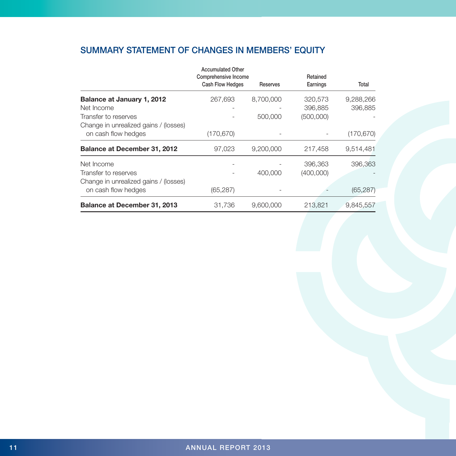# SUMMARY STATEMENT OF CHANGES IN MEMBERS' EQUITY

|                                       | <b>Accumulated Other</b><br>Comprehensive Income<br><b>Cash Flow Hedges</b> | Reserves  | Retained<br>Earnings | Total     |
|---------------------------------------|-----------------------------------------------------------------------------|-----------|----------------------|-----------|
| Balance at January 1, 2012            | 267,693                                                                     | 8.700.000 | 320,573              | 9,288,266 |
| Net Income                            |                                                                             |           | 396,885              | 396,885   |
| Transfer to reserves                  |                                                                             | 500,000   | (500,000)            |           |
| Change in unrealized gains / (losses) |                                                                             |           |                      |           |
| on cash flow hedges                   | (170, 670)                                                                  |           |                      | (170,670) |
| <b>Balance at December 31, 2012</b>   | 97,023                                                                      | 9,200,000 | 217,458              | 9,514,481 |
| Net Income                            |                                                                             |           | 396,363              | 396,363   |
| Transfer to reserves                  |                                                                             | 400,000   | (400,000)            |           |
| Change in unrealized gains / (losses) |                                                                             |           |                      |           |
| on cash flow hedges                   | (65, 287)                                                                   |           |                      | (65, 287) |
| <b>Balance at December 31, 2013</b>   | 31.736                                                                      | 9.600.000 | 213.821              | 9.845.557 |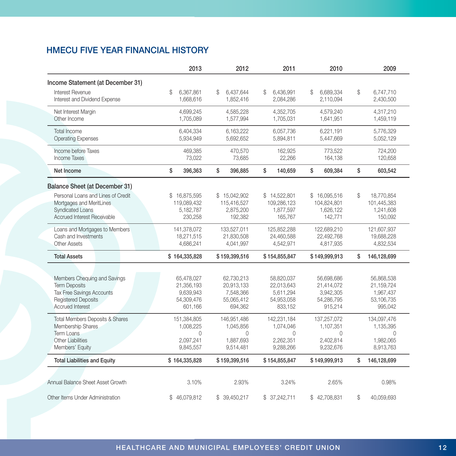# HMECU FIVE YEAR FINANCIAL HISTORY

|                                                                                                                                     | 2013                                                           | 2012                                                           | 2011                                                           | 2010                                                           | 2009                                                           |
|-------------------------------------------------------------------------------------------------------------------------------------|----------------------------------------------------------------|----------------------------------------------------------------|----------------------------------------------------------------|----------------------------------------------------------------|----------------------------------------------------------------|
| Income Statement (at December 31)                                                                                                   |                                                                |                                                                |                                                                |                                                                |                                                                |
| Interest Revenue<br>Interest and Dividend Expense                                                                                   | \$<br>6,367,861<br>1,668,616                                   | \$<br>6.437.644<br>1,852,416                                   | \$<br>6,436,991<br>2,084,286                                   | \$<br>6,689,334<br>2,110,094                                   | \$<br>6,747,710<br>2,430,500                                   |
| Net Interest Margin<br>Other Income                                                                                                 | 4,699,245<br>1,705,089                                         | 4,585,228<br>1,577,994                                         | 4,352,705<br>1,705,031                                         | 4,579,240<br>1,641,951                                         | 4,317,210<br>1,459,119                                         |
| Total Income<br><b>Operating Expenses</b>                                                                                           | 6.404.334<br>5,934,949                                         | 6.163.222<br>5,692,652                                         | 6.057.736<br>5,894,811                                         | 6.221.191<br>5,447,669                                         | 5.776.329<br>5,052,129                                         |
| Income before Taxes<br><b>Income Taxes</b>                                                                                          | 469,385<br>73,022                                              | 470,570<br>73,685                                              | 162,925<br>22,266                                              | 773,522<br>164,138                                             | 724,200<br>120,658                                             |
| Net Income                                                                                                                          | \$<br>396,363                                                  | \$<br>396,885                                                  | \$<br>140,659                                                  | \$<br>609,384                                                  | \$<br>603,542                                                  |
| <b>Balance Sheet (at December 31)</b>                                                                                               |                                                                |                                                                |                                                                |                                                                |                                                                |
| Personal Loans and Lines of Credit<br>Mortgages and MeritLines<br><b>Syndicated Loans</b><br>Accrued Interest Receivable            | \$<br>16,875,595<br>119.089.432<br>5,182,787<br>230,258        | \$15,042,902<br>115.416.527<br>2,875,200<br>192,382            | \$14,522,801<br>109.286.123<br>1,877,597<br>165,767            | \$16,095,516<br>104,824,801<br>1,626,122<br>142,771            | \$<br>18,770,854<br>101,445,383<br>1,241,608<br>150,092        |
| Loans and Mortgages to Members<br>Cash and Investments<br><b>Other Assets</b>                                                       | 141,378,072<br>18,271,515<br>4,686,241                         | 133,527,011<br>21,830,508<br>4,041,997                         | 125,852,288<br>24,460,588<br>4,542,971                         | 122,689,210<br>22,492,768<br>4,817,935                         | 121,607,937<br>19,688,228<br>4,832,534                         |
| <b>Total Assets</b>                                                                                                                 | \$164,335,828                                                  | \$159,399,516                                                  | \$154,855,847                                                  | \$149,999,913                                                  | \$<br>146,128,699                                              |
| Members Chequing and Savings<br><b>Term Deposits</b><br>Tax Free Savings Accounts<br><b>Registered Deposits</b><br>Accrued Interest | 65,478,027<br>21,356,193<br>9.639.943<br>54,309,476<br>601,166 | 62,730,213<br>20,913,133<br>7.548.366<br>55,065,412<br>694,362 | 58,820,037<br>22,013,643<br>5.611.294<br>54,953,058<br>833,152 | 56,698,686<br>21,414,072<br>3.942.305<br>54,286,795<br>915,214 | 56,868,538<br>21,159,724<br>1.967.437<br>53,106,735<br>995,042 |
| <b>Total Members Deposits &amp; Shares</b><br>Membership Shares<br>Term Loans<br><b>Other Liabilities</b><br>Members' Equity        | 151,384,805<br>1,008,225<br>$\Omega$<br>2,097,241<br>9,845,557 | 146,951,486<br>1,045,856<br>$\Omega$<br>1,887,693<br>9,514,481 | 142,231,184<br>1,074,046<br>$\Omega$<br>2.262.351<br>9,288,266 | 137,257,072<br>1,107,351<br>$\Omega$<br>2.402.814<br>9,232,676 | 134,097,476<br>1,135,395<br>$\Omega$<br>1,982,065<br>8,913,763 |
| <b>Total Liabilities and Equity</b>                                                                                                 | \$164,335,828                                                  | \$159,399,516                                                  | \$154,855,847                                                  | \$149,999,913                                                  | \$<br>146,128,699                                              |
| Annual Balance Sheet Asset Growth                                                                                                   | 3.10%                                                          | 2.93%                                                          | 3.24%                                                          | 2.65%                                                          | 0.98%                                                          |
| Other Items Under Administration                                                                                                    | \$46,079,812                                                   | \$ 39,450,217                                                  | \$37,242,711                                                   | \$42,708,831                                                   | \$<br>40,059,693                                               |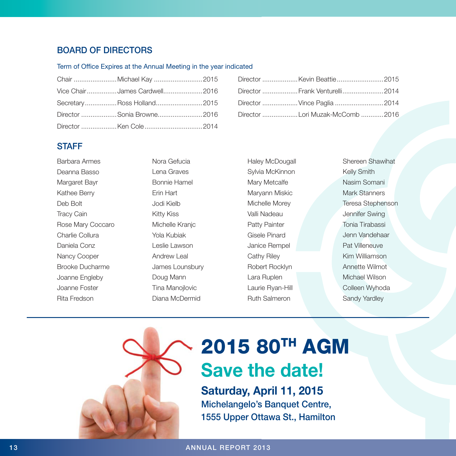# BOARD OF DIRECTORS

#### Term of Office Expires at the Annual Meeting in the year indicated

| Vice ChairJames Cardwell2016 |  |
|------------------------------|--|
| SecretaryRoss Holland2015    |  |
| Director Sonia Browne2016    |  |
|                              |  |

| Director  Frank Venturelli2014 |  |
|--------------------------------|--|
|                                |  |
|                                |  |

### **STAFF**

| Barbara Armes     |
|-------------------|
| Deanna Basso      |
| Marqaret Bayr     |
| Kathee Berry      |
| Deb Bolt          |
| <b>Tracy Cain</b> |
| Rose Mary Coccaro |
| Charlie Collura   |
| Daniela Conz      |
| Nancy Cooper      |
| Brooke Ducharme   |
| Joanne Engleby    |
| Joanne Foster     |
| Rita Fredson      |
|                   |

Nora Gefucia Lena Graves Bonnie Hamel Erin Hart Jodi Kielb Kitty Kiss Michelle Kranjc Yola Kubiak Leslie Lawson Andrew Leal James Lounsbury Doug Mann Tina Manojlovic Diana McDermid

Haley McDougall Sylvia McKinnon Mary Metcalfe Maryann Miskic Michelle Morey Valli Nadeau Patty Painter Gisele Pinard Janice Rempel Cathy Riley Robert Rocklyn Lara Ruplen Laurie Ryan-Hill Ruth Salmeron

Shereen Shawihat Kelly Smith Nasim Somani Mark Stanners Teresa Stephenson Jennifer Swing Tonia Tirabassi Jenn Vandehaar Pat Villeneuve Kim Williamson Annette Wilmot Michael Wilson Colleen Wyhoda Sandy Yardley

# 2015 80TH AGM Save the date!

Saturday, April 11, 2015 Michelangelo's Banquet Centre, 1555 Upper Ottawa St., Hamilton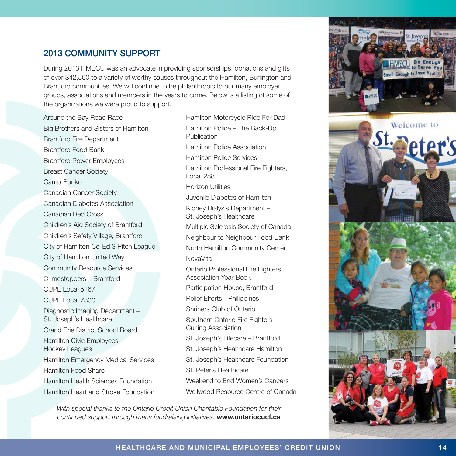# 2013 COMMUNITY SUPPORT

During 2013 HMECU was an advocate in providing sponsorships, donations and gifts of over \$42,500 to a variety of worthy causes throughout the Hamilton, Burlington and Brantford communities. We will continue to be philanthropic to our many employer groups, associations and members in the years to come. Below is a listing of some of the organizations we were proud to support.

Around the Bay Road Race Big Brothers and Sisters of Hamilton Brantford Fire Department Brantford Food Bank Brantford Power Employees Breast Cancer Society Camp Bunko Canadian Cancer Society Canadian Diabetes Association Canadian Red Cross Children's Aid Society of Brantford Children's Safety Village, Brantford City of Hamilton Co-Ed 3 Pitch League City of Hamilton United Way Community Resource Services Crimestoppers – Brantford CUPE Local 5167 CUPE Local 7800 Diagnostic Imaging Department – St. Joseph's Healthcare Grand Erie District School Board Hamilton Civic Employees Hockey Leagues Hamilton Emergency Medical Services Hamilton Food Share Hamilton Health Sciences Foundation

Hamilton Heart and Stroke Foundation

Hamilton Motorcycle Ride For Dad Hamilton Police – The Back-Up Publication Hamilton Police Association Hamilton Police Services Hamilton Professional Fire Fighters, Local 288 Horizon Utilities Juvenile Diabetes of Hamilton Kidney Dialysis Department – St. Joseph's Healthcare Multiple Sclerosis Society of Canada Neighbour to Neighbour Food Bank North Hamilton Community Center NovaVita Ontario Professional Fire Fighters Association Year Book Participation House, Brantford Relief Efforts - Philippines Shriners Club of Ontario Southern Ontario Fire Fighters Curling Association St. Joseph's Lifecare – Brantford St. Joseph's Healthcare Hamilton St. Joseph's Healthcare Foundation St. Peter's Healthcare Weekend to End Women's Cancers Wellwood Resource Centre of Canada

*With special thanks to the Ontario Credit Union Charitable Foundation for their continued support through many fundraising initiatives.* www.ontariocucf.ca





### HEALTHCARE AND MUNICIPAL EMPLOYEES' CREDIT UNION 14